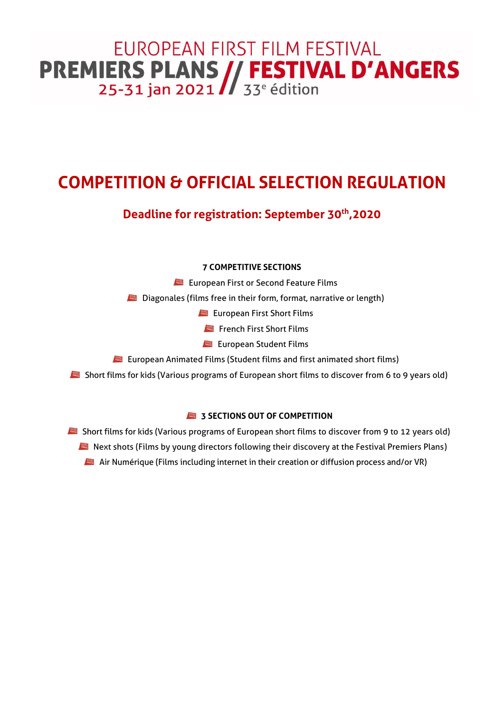# EUROPEAN FIRST FILM FESTIVAL **PREMIERS PLANS // FESTIVAL D'ANGERS**<br>25-31 jan 2021 // 33<sup>e</sup> édition

## **COMPETITION & OFFICIAL SELECTION REGULATION**

### **Deadline for registration: September 30th ,2020**

#### **7 COMPETITIVE SECTIONS**

**European First or Second Feature Films** 

**Diagonales (films free in their form, format, narrative or length)** 

**European First Short Films** 

French First Short Films

**European Student Films** 

**EU** European Animated Films (Student films and first animated short films)

Short films for kids (Various programs of European short films to discover from 6 to 9 years old)

#### **3 SECTIONS OUT OF COMPETITION**

Short films for kids (Various programs of European short films to discover from 9 to 12 years old) Next shots (Films by young directors following their discovery at the Festival Premiers Plans) Air Numérique (Films including internet in their creation or diffusion process and/or VR)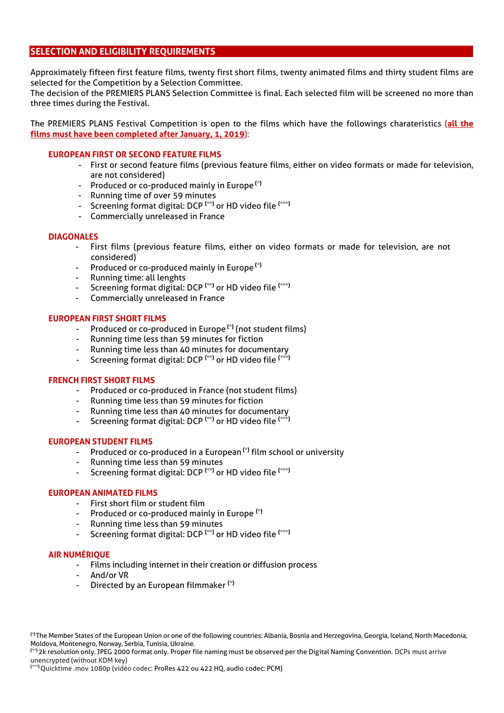#### **SELECTION AND ELIGIBILITY REQUIREMENTS**

Approximately fifteen first feature films, twenty first short films, twenty animated films and thirty student films are selected for the Competition by a Selection Committee.

The decision of the PREMIERS PLANS Selection Committee is final. Each selected film will be screened no more than three times during the Festival.

The PREMIERS PLANS Festival Competition is open to the films which have the followings charateristics (**all the films must have been completed after January, 1, 2019**):

#### **EUROPEAN FIRST OR SECOND FEATURE FILMS**

- First or second feature films (previous feature films, either on video formats or made for television, are not considered)
- Produced or co-produced mainly in Europe **(\*)**
- Running time of over 59 minutes
- Screening format digital: DCP **(\*\*)** or HD video file **(\*\*\*)**
- Commercially unreleased in France

#### **DIAGONALES**

- First films (previous feature films, either on video formats or made for television, are not considered)
- Produced or co-produced mainly in Europe **(\*)**
- Running time: all lenghts
- Screening format digital: DCP **(\*\*)** or HD video file **(\*\*\*)**
- Commercially unreleased in France

#### **EUROPEAN FIRST SHORT FILMS**

- Produced or co-produced in Europe **(\*)** (not student films)
- Running time less than 59 minutes for fiction
- Running time less than 40 minutes for documentary
- Screening format digital: DCP **(\*\*)** or HD video file **(\*\*\*)**

#### **FRENCH FIRST SHORT FILMS**

- Produced or co-produced in France (not student films)
- Running time less than 59 minutes for fiction
- Running time less than 40 minutes for documentary
- Screening format digital: DCP **(\*\*)** or HD video file **(\*\*\*)**

#### **EUROPEAN STUDENT FILMS**

- Produced or co-produced in a European **(\*)** film school or university
- Running time less than 59 minutes
- Screening format digital: DCP **(\*\*)** or HD video file **(\*\*\*)**

#### **EUROPEAN ANIMATED FILMS**

- First short film or student film
- Produced or co-produced mainly in Europe **(\*)**
- Running time less than 59 minutes
- Screening format digital: DCP **(\*\*)** or HD video file **(\*\*\*)**

#### **AIR NUMÉRIQUE**

- Films including internet in their creation or diffusion process
- And/or VR
- Directed by an European filmmaker **(\*)**

**(\*\*)** 2k resolution only. JPEG 2000 format only. Proper file naming must be observed per the Digital Naming Convention. DCPs must arrive unencrypted (without KDM key)

**(\*\*\*)** Quicktime .mov 1080p (vidéo codec: ProRes 422 ou 422 HQ, audio codec: PCM)

**<sup>(\*)</sup>** The Member States of the European Union or one of the following countries: Albania, Bosnia and Herzegovina, Georgia, Iceland, North Macedonia, Moldova, Montenegro, Norway, Serbia, Tunisia, Ukraine.